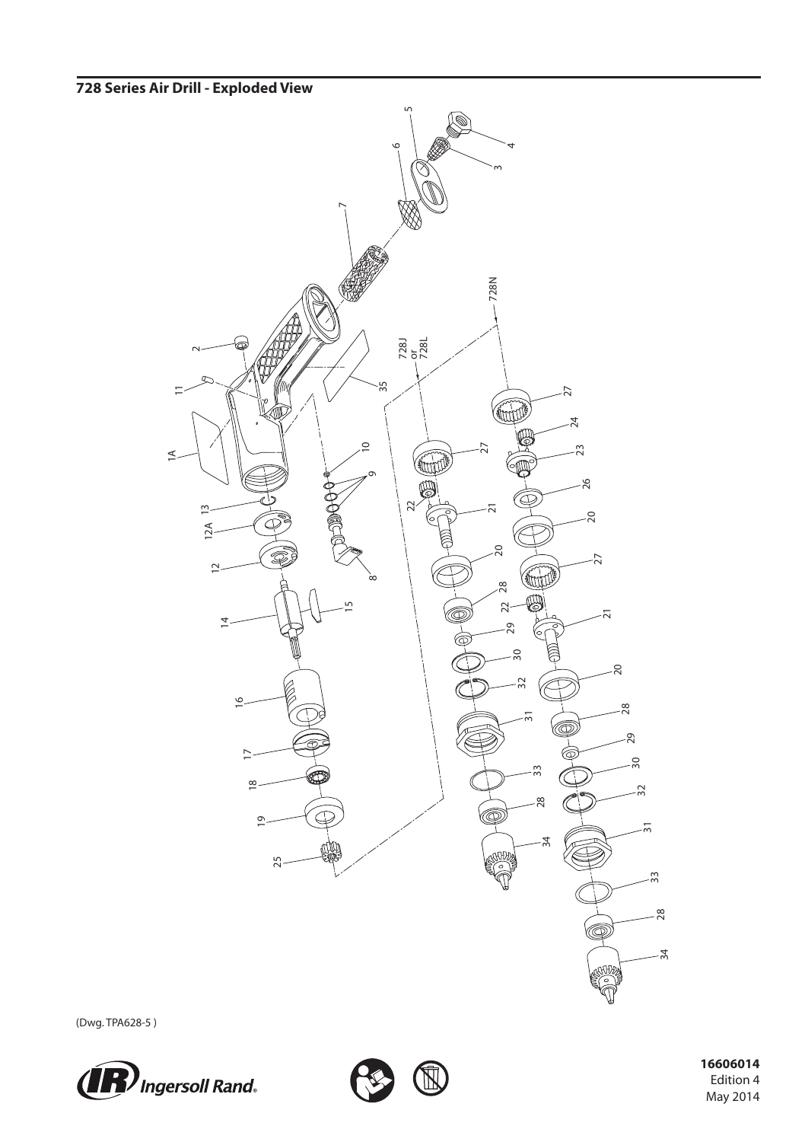## **728 Series Air Drill - Exploded View**



(Dwg. TPA628-5 )





 **16606014** Edition 4 May 2014